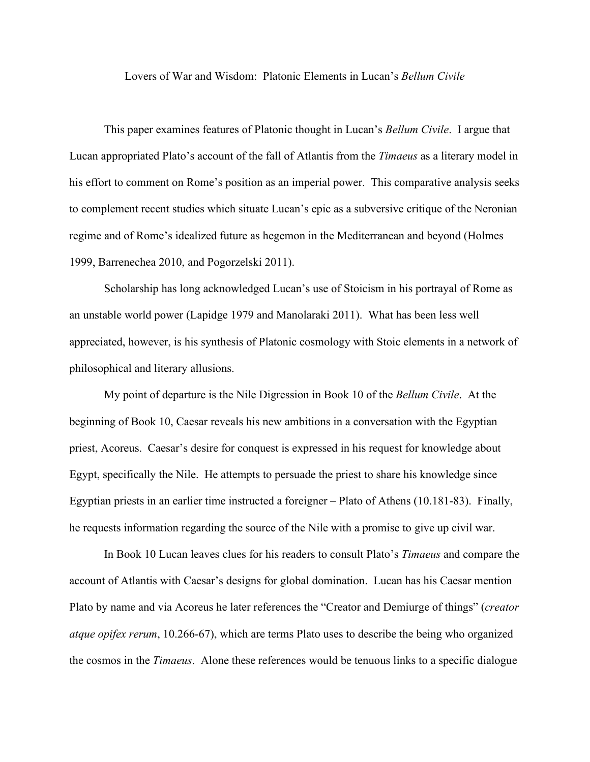Lovers of War and Wisdom: Platonic Elements in Lucan's *Bellum Civile*

This paper examines features of Platonic thought in Lucan's *Bellum Civile*. I argue that Lucan appropriated Plato's account of the fall of Atlantis from the *Timaeus* as a literary model in his effort to comment on Rome's position as an imperial power. This comparative analysis seeks to complement recent studies which situate Lucan's epic as a subversive critique of the Neronian regime and of Rome's idealized future as hegemon in the Mediterranean and beyond (Holmes 1999, Barrenechea 2010, and Pogorzelski 2011).

Scholarship has long acknowledged Lucan's use of Stoicism in his portrayal of Rome as an unstable world power (Lapidge 1979 and Manolaraki 2011). What has been less well appreciated, however, is his synthesis of Platonic cosmology with Stoic elements in a network of philosophical and literary allusions.

My point of departure is the Nile Digression in Book 10 of the *Bellum Civile*. At the beginning of Book 10, Caesar reveals his new ambitions in a conversation with the Egyptian priest, Acoreus. Caesar's desire for conquest is expressed in his request for knowledge about Egypt, specifically the Nile. He attempts to persuade the priest to share his knowledge since Egyptian priests in an earlier time instructed a foreigner – Plato of Athens (10.181-83). Finally, he requests information regarding the source of the Nile with a promise to give up civil war.

In Book 10 Lucan leaves clues for his readers to consult Plato's *Timaeus* and compare the account of Atlantis with Caesar's designs for global domination. Lucan has his Caesar mention Plato by name and via Acoreus he later references the "Creator and Demiurge of things" (*creator atque opifex rerum*, 10.266-67), which are terms Plato uses to describe the being who organized the cosmos in the *Timaeus*. Alone these references would be tenuous links to a specific dialogue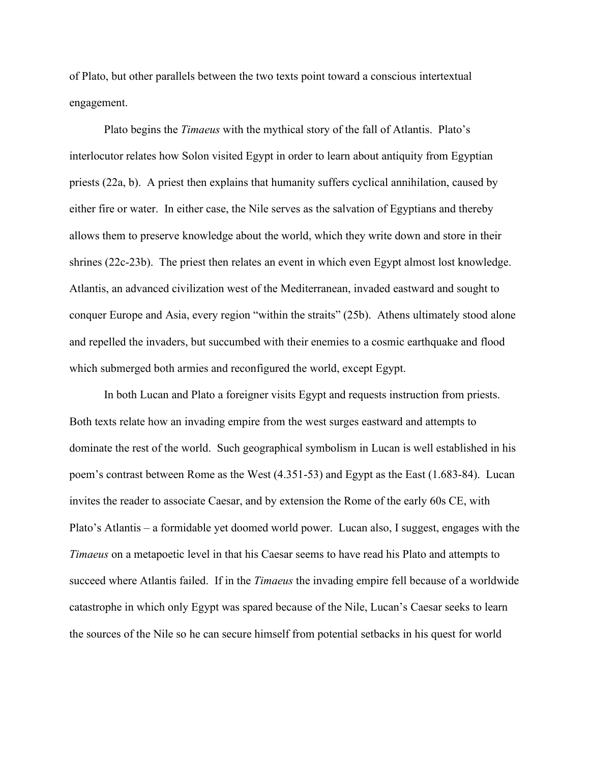of Plato, but other parallels between the two texts point toward a conscious intertextual engagement.

Plato begins the *Timaeus* with the mythical story of the fall of Atlantis. Plato's interlocutor relates how Solon visited Egypt in order to learn about antiquity from Egyptian priests (22a, b). A priest then explains that humanity suffers cyclical annihilation, caused by either fire or water. In either case, the Nile serves as the salvation of Egyptians and thereby allows them to preserve knowledge about the world, which they write down and store in their shrines (22c-23b). The priest then relates an event in which even Egypt almost lost knowledge. Atlantis, an advanced civilization west of the Mediterranean, invaded eastward and sought to conquer Europe and Asia, every region "within the straits" (25b). Athens ultimately stood alone and repelled the invaders, but succumbed with their enemies to a cosmic earthquake and flood which submerged both armies and reconfigured the world, except Egypt.

In both Lucan and Plato a foreigner visits Egypt and requests instruction from priests. Both texts relate how an invading empire from the west surges eastward and attempts to dominate the rest of the world. Such geographical symbolism in Lucan is well established in his poem's contrast between Rome as the West (4.351-53) and Egypt as the East (1.683-84). Lucan invites the reader to associate Caesar, and by extension the Rome of the early 60s CE, with Plato's Atlantis – a formidable yet doomed world power. Lucan also, I suggest, engages with the *Timaeus* on a metapoetic level in that his Caesar seems to have read his Plato and attempts to succeed where Atlantis failed. If in the *Timaeus* the invading empire fell because of a worldwide catastrophe in which only Egypt was spared because of the Nile, Lucan's Caesar seeks to learn the sources of the Nile so he can secure himself from potential setbacks in his quest for world